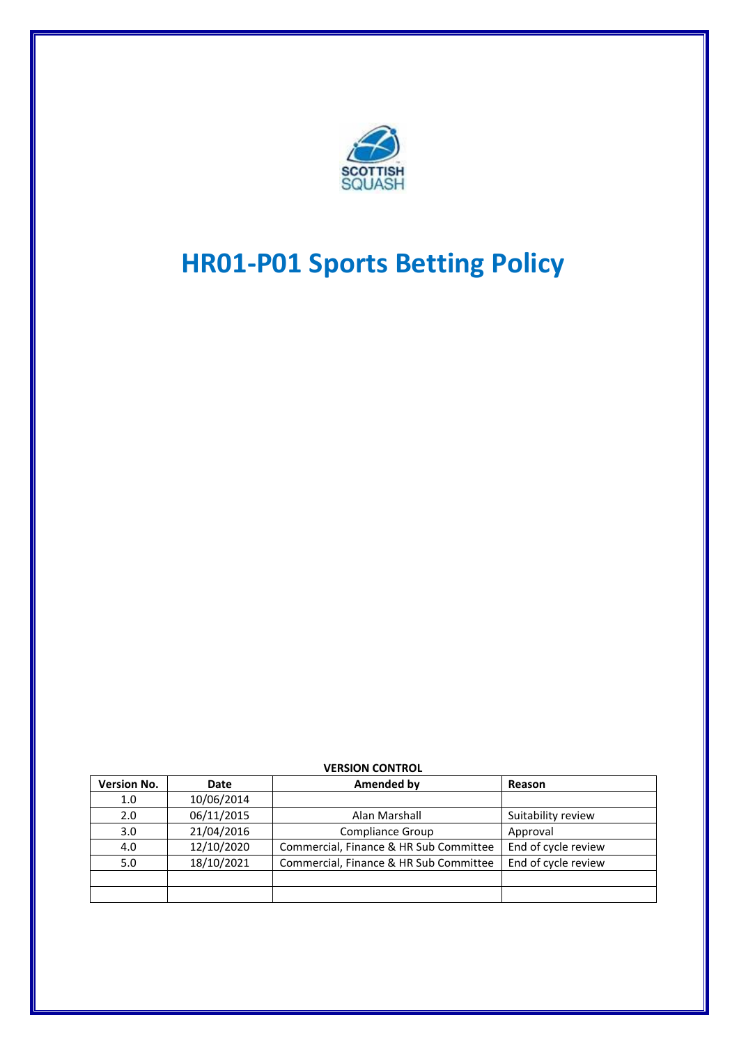

# **HR01-P01 Sports Betting Policy**

| <b>VERSION CONTROL</b> |            |                                        |                     |
|------------------------|------------|----------------------------------------|---------------------|
| <b>Version No.</b>     | Date       | <b>Amended by</b>                      | Reason              |
| 1.0                    | 10/06/2014 |                                        |                     |
| 2.0                    | 06/11/2015 | Alan Marshall                          | Suitability review  |
| 3.0                    | 21/04/2016 | <b>Compliance Group</b>                | Approval            |
| 4.0                    | 12/10/2020 | Commercial, Finance & HR Sub Committee | End of cycle review |
| 5.0                    | 18/10/2021 | Commercial, Finance & HR Sub Committee | End of cycle review |
|                        |            |                                        |                     |
|                        |            |                                        |                     |

#### **VERSION CONTROL**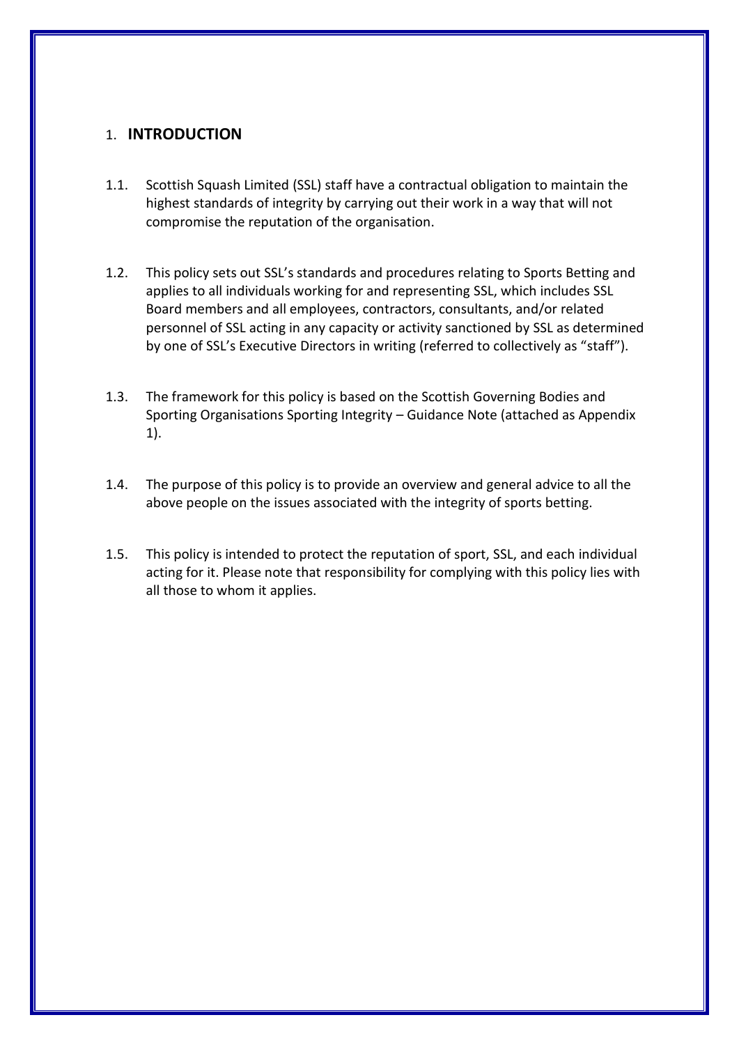## 1. **INTRODUCTION**

- 1.1. Scottish Squash Limited (SSL) staff have a contractual obligation to maintain the highest standards of integrity by carrying out their work in a way that will not compromise the reputation of the organisation.
- 1.2. This policy sets out SSL's standards and procedures relating to Sports Betting and applies to all individuals working for and representing SSL, which includes SSL Board members and all employees, contractors, consultants, and/or related personnel of SSL acting in any capacity or activity sanctioned by SSL as determined by one of SSL's Executive Directors in writing (referred to collectively as "staff").
- 1.3. The framework for this policy is based on the Scottish Governing Bodies and Sporting Organisations Sporting Integrity – Guidance Note (attached as Appendix 1).
- 1.4. The purpose of this policy is to provide an overview and general advice to all the above people on the issues associated with the integrity of sports betting.
- 1.5. This policy is intended to protect the reputation of sport, SSL, and each individual acting for it. Please note that responsibility for complying with this policy lies with all those to whom it applies.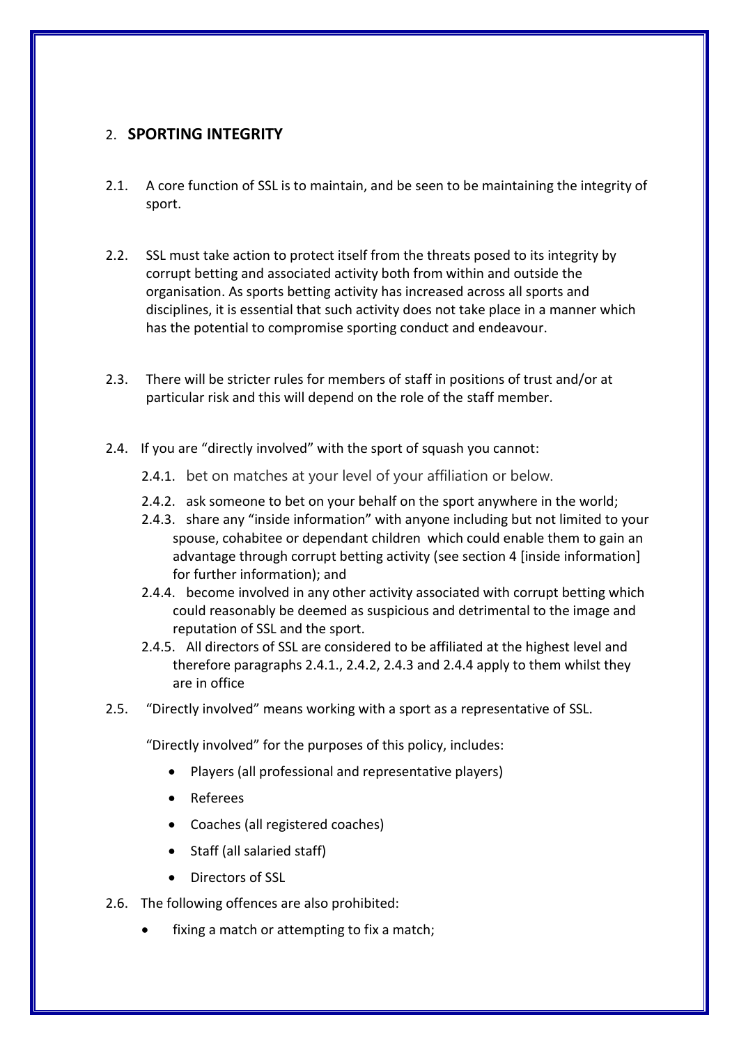## 2. **SPORTING INTEGRITY**

- 2.1. A core function of SSL is to maintain, and be seen to be maintaining the integrity of sport.
- 2.2. SSL must take action to protect itself from the threats posed to its integrity by corrupt betting and associated activity both from within and outside the organisation. As sports betting activity has increased across all sports and disciplines, it is essential that such activity does not take place in a manner which has the potential to compromise sporting conduct and endeavour.
- 2.3. There will be stricter rules for members of staff in positions of trust and/or at particular risk and this will depend on the role of the staff member.
- 2.4. If you are "directly involved" with the sport of squash you cannot:
	- 2.4.1. bet on matches at your level of your affiliation or below.
	- 2.4.2. ask someone to bet on your behalf on the sport anywhere in the world;
	- 2.4.3. share any "inside information" with anyone including but not limited to your spouse, cohabitee or dependant children which could enable them to gain an advantage through corrupt betting activity (see section 4 [inside information] for further information); and
	- 2.4.4. become involved in any other activity associated with corrupt betting which could reasonably be deemed as suspicious and detrimental to the image and reputation of SSL and the sport.
	- 2.4.5. All directors of SSL are considered to be affiliated at the highest level and therefore paragraphs 2.4.1., 2.4.2, 2.4.3 and 2.4.4 apply to them whilst they are in office
- 2.5. "Directly involved" means working with a sport as a representative of SSL.

"Directly involved" for the purposes of this policy, includes:

- Players (all professional and representative players)
- Referees
- Coaches (all registered coaches)
- Staff (all salaried staff)
- Directors of SSL
- 2.6. The following offences are also prohibited:
	- fixing a match or attempting to fix a match;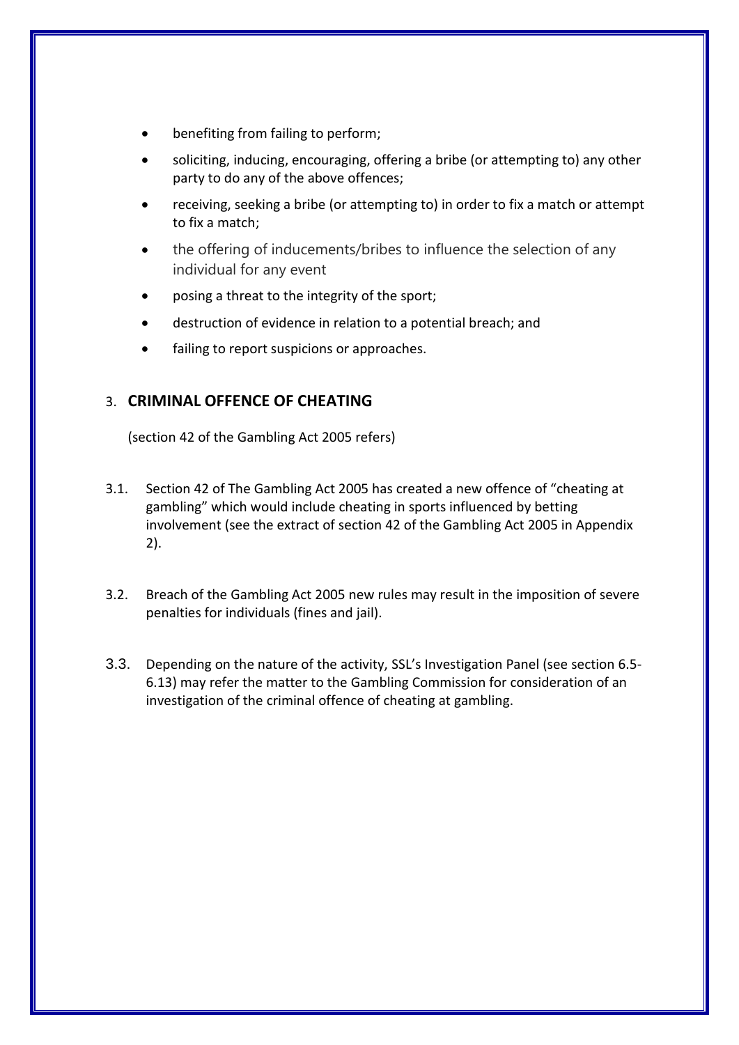- benefiting from failing to perform;
- soliciting, inducing, encouraging, offering a bribe (or attempting to) any other party to do any of the above offences;
- receiving, seeking a bribe (or attempting to) in order to fix a match or attempt to fix a match;
- the offering of inducements/bribes to influence the selection of any individual for any event
- posing a threat to the integrity of the sport;
- destruction of evidence in relation to a potential breach; and
- failing to report suspicions or approaches.

## 3. **CRIMINAL OFFENCE OF CHEATING**

(section 42 of the Gambling Act 2005 refers)

- 3.1. Section 42 of The Gambling Act 2005 has created a new offence of "cheating at gambling" which would include cheating in sports influenced by betting involvement (see the extract of section 42 of the Gambling Act 2005 in Appendix 2).
- 3.2. Breach of the Gambling Act 2005 new rules may result in the imposition of severe penalties for individuals (fines and jail).
- 3.3. Depending on the nature of the activity, SSL's Investigation Panel (see section 6.5- 6.13) may refer the matter to the Gambling Commission for consideration of an investigation of the criminal offence of cheating at gambling.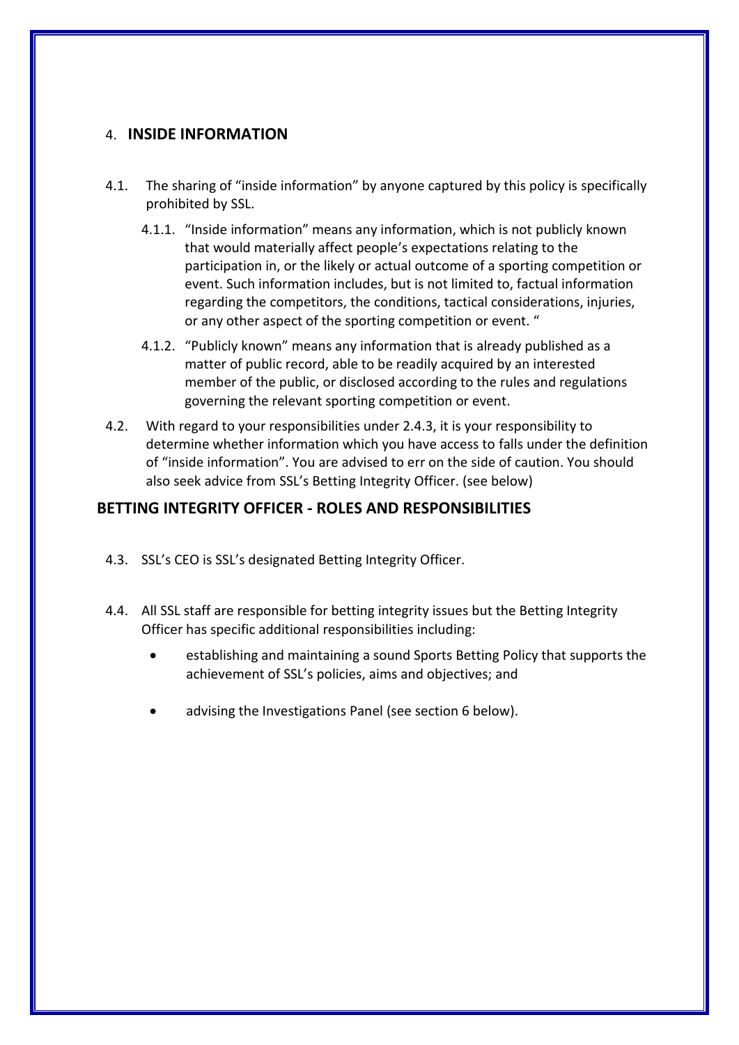## 4. **INSIDE INFORMATION**

- 4.1. The sharing of "inside information" by anyone captured by this policy is specifically prohibited by SSL.
	- 4.1.1. "Inside information" means any information, which is not publicly known that would materially affect people's expectations relating to the participation in, or the likely or actual outcome of a sporting competition or event. Such information includes, but is not limited to, factual information regarding the competitors, the conditions, tactical considerations, injuries, or any other aspect of the sporting competition or event. "
	- 4.1.2. "Publicly known" means any information that is already published as a matter of public record, able to be readily acquired by an interested member of the public, or disclosed according to the rules and regulations governing the relevant sporting competition or event.
- 4.2. With regard to your responsibilities under 2.4.3, it is your responsibility to determine whether information which you have access to falls under the definition of "inside information". You are advised to err on the side of caution. You should also seek advice from SSL's Betting Integrity Officer. (see below)

# **BETTING INTEGRITY OFFICER - ROLES AND RESPONSIBILITIES**

- 4.3. SSL's CEO is SSL's designated Betting Integrity Officer.
- 4.4. All SSL staff are responsible for betting integrity issues but the Betting Integrity Officer has specific additional responsibilities including:
	- establishing and maintaining a sound Sports Betting Policy that supports the achievement of SSL's policies, aims and objectives; and
	- advising the Investigations Panel (see section 6 below).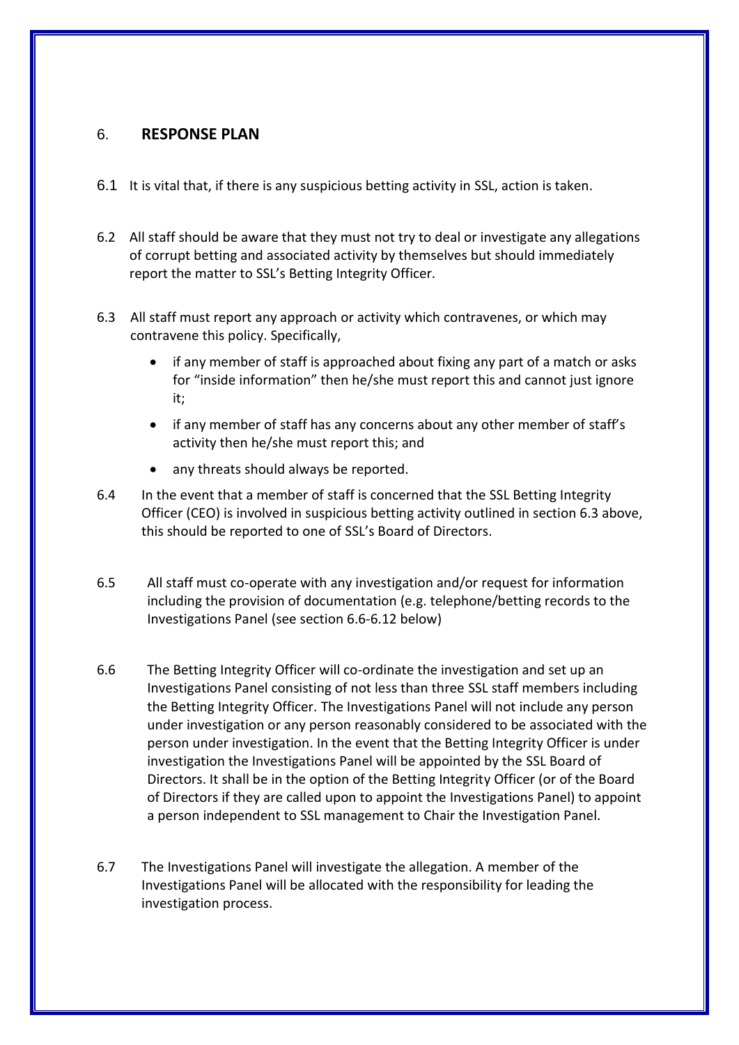## 6. **RESPONSE PLAN**

- 6.1 It is vital that, if there is any suspicious betting activity in SSL, action is taken.
- 6.2 All staff should be aware that they must not try to deal or investigate any allegations of corrupt betting and associated activity by themselves but should immediately report the matter to SSL's Betting Integrity Officer.
- 6.3 All staff must report any approach or activity which contravenes, or which may contravene this policy. Specifically,
	- if any member of staff is approached about fixing any part of a match or asks for "inside information" then he/she must report this and cannot just ignore it;
	- if any member of staff has any concerns about any other member of staff's activity then he/she must report this; and
	- any threats should always be reported.
- 6.4 In the event that a member of staff is concerned that the SSL Betting Integrity Officer (CEO) is involved in suspicious betting activity outlined in section 6.3 above, this should be reported to one of SSL's Board of Directors.
- 6.5 All staff must co-operate with any investigation and/or request for information including the provision of documentation (e.g. telephone/betting records to the Investigations Panel (see section 6.6-6.12 below)
- 6.6 The Betting Integrity Officer will co-ordinate the investigation and set up an Investigations Panel consisting of not less than three SSL staff members including the Betting Integrity Officer. The Investigations Panel will not include any person under investigation or any person reasonably considered to be associated with the person under investigation. In the event that the Betting Integrity Officer is under investigation the Investigations Panel will be appointed by the SSL Board of Directors. It shall be in the option of the Betting Integrity Officer (or of the Board of Directors if they are called upon to appoint the Investigations Panel) to appoint a person independent to SSL management to Chair the Investigation Panel.
- 6.7 The Investigations Panel will investigate the allegation. A member of the Investigations Panel will be allocated with the responsibility for leading the investigation process.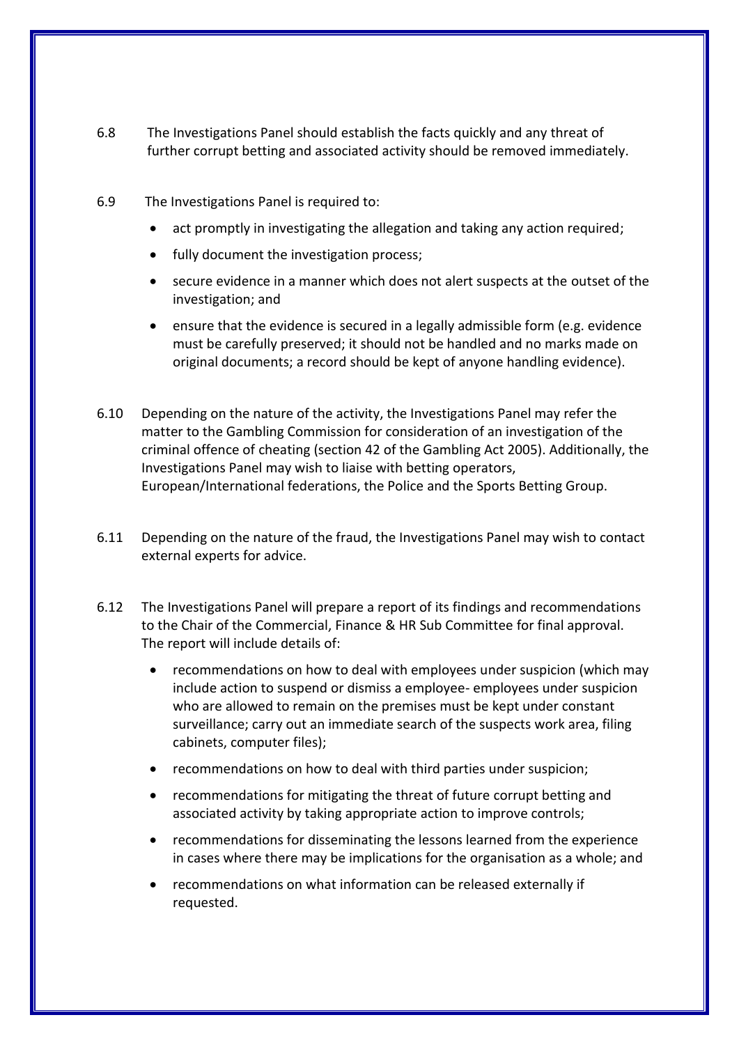- 6.8 The Investigations Panel should establish the facts quickly and any threat of further corrupt betting and associated activity should be removed immediately.
- 6.9 The Investigations Panel is required to:
	- act promptly in investigating the allegation and taking any action required;
	- fully document the investigation process;
	- secure evidence in a manner which does not alert suspects at the outset of the investigation; and
	- ensure that the evidence is secured in a legally admissible form (e.g. evidence must be carefully preserved; it should not be handled and no marks made on original documents; a record should be kept of anyone handling evidence).
- 6.10 Depending on the nature of the activity, the Investigations Panel may refer the matter to the Gambling Commission for consideration of an investigation of the criminal offence of cheating (section 42 of the Gambling Act 2005). Additionally, the Investigations Panel may wish to liaise with betting operators, European/International federations, the Police and the Sports Betting Group.
- 6.11 Depending on the nature of the fraud, the Investigations Panel may wish to contact external experts for advice.
- 6.12 The Investigations Panel will prepare a report of its findings and recommendations to the Chair of the Commercial, Finance & HR Sub Committee for final approval. The report will include details of:
	- recommendations on how to deal with employees under suspicion (which may include action to suspend or dismiss a employee- employees under suspicion who are allowed to remain on the premises must be kept under constant surveillance; carry out an immediate search of the suspects work area, filing cabinets, computer files);
	- recommendations on how to deal with third parties under suspicion;
	- recommendations for mitigating the threat of future corrupt betting and associated activity by taking appropriate action to improve controls;
	- recommendations for disseminating the lessons learned from the experience in cases where there may be implications for the organisation as a whole; and
	- recommendations on what information can be released externally if requested.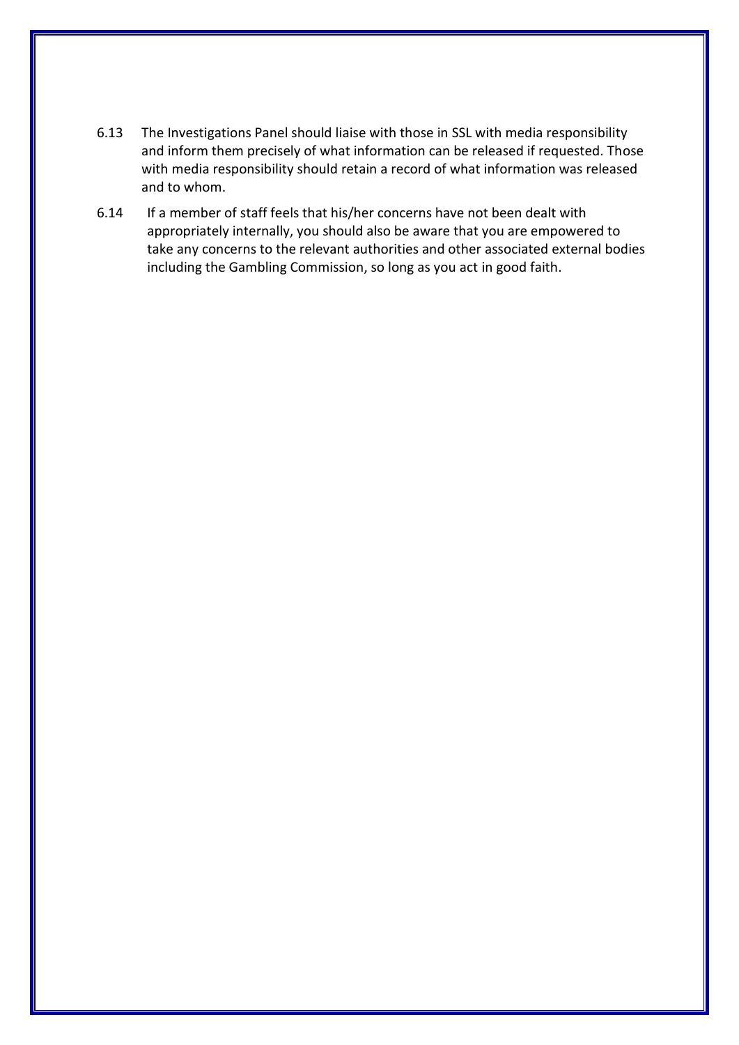- 6.13 The Investigations Panel should liaise with those in SSL with media responsibility and inform them precisely of what information can be released if requested. Those with media responsibility should retain a record of what information was released and to whom.
- 6.14 If a member of staff feels that his/her concerns have not been dealt with appropriately internally, you should also be aware that you are empowered to take any concerns to the relevant authorities and other associated external bodies including the Gambling Commission, so long as you act in good faith.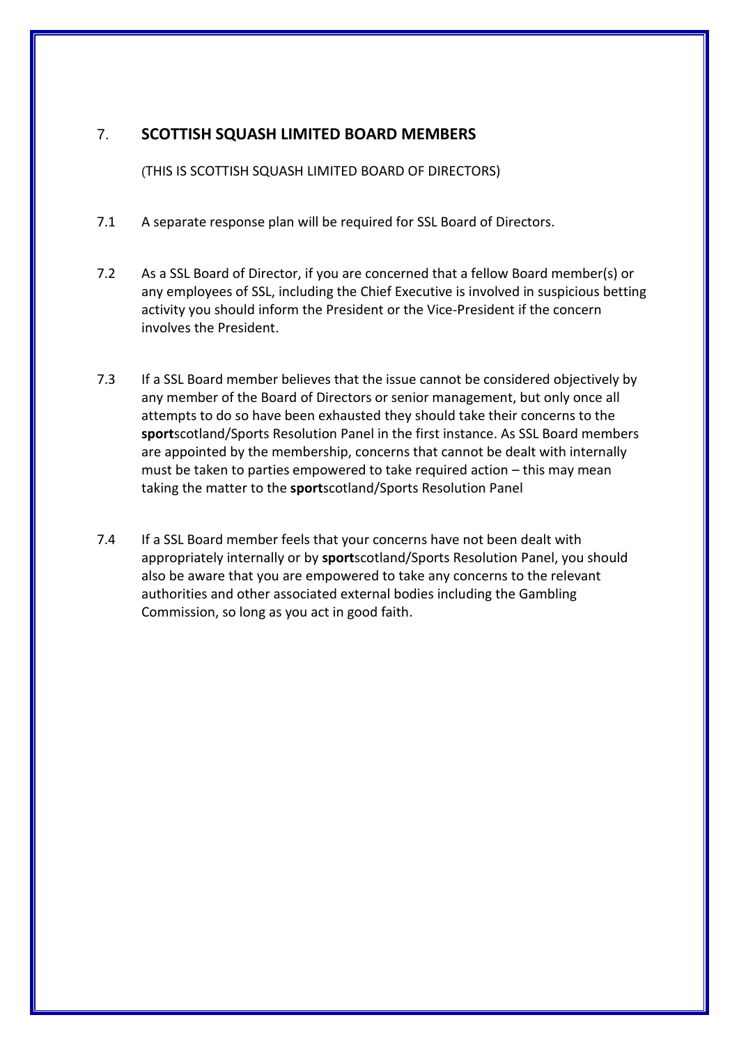# 7. **SCOTTISH SQUASH LIMITED BOARD MEMBERS**

(THIS IS SCOTTISH SQUASH LIMITED BOARD OF DIRECTORS)

- 7.1 A separate response plan will be required for SSL Board of Directors.
- 7.2 As a SSL Board of Director, if you are concerned that a fellow Board member(s) or any employees of SSL, including the Chief Executive is involved in suspicious betting activity you should inform the President or the Vice-President if the concern involves the President.
- 7.3 If a SSL Board member believes that the issue cannot be considered objectively by any member of the Board of Directors or senior management, but only once all attempts to do so have been exhausted they should take their concerns to the **sport**scotland/Sports Resolution Panel in the first instance. As SSL Board members are appointed by the membership, concerns that cannot be dealt with internally must be taken to parties empowered to take required action – this may mean taking the matter to the **sport**scotland/Sports Resolution Panel
- 7.4 If a SSL Board member feels that your concerns have not been dealt with appropriately internally or by **sport**scotland/Sports Resolution Panel, you should also be aware that you are empowered to take any concerns to the relevant authorities and other associated external bodies including the Gambling Commission, so long as you act in good faith.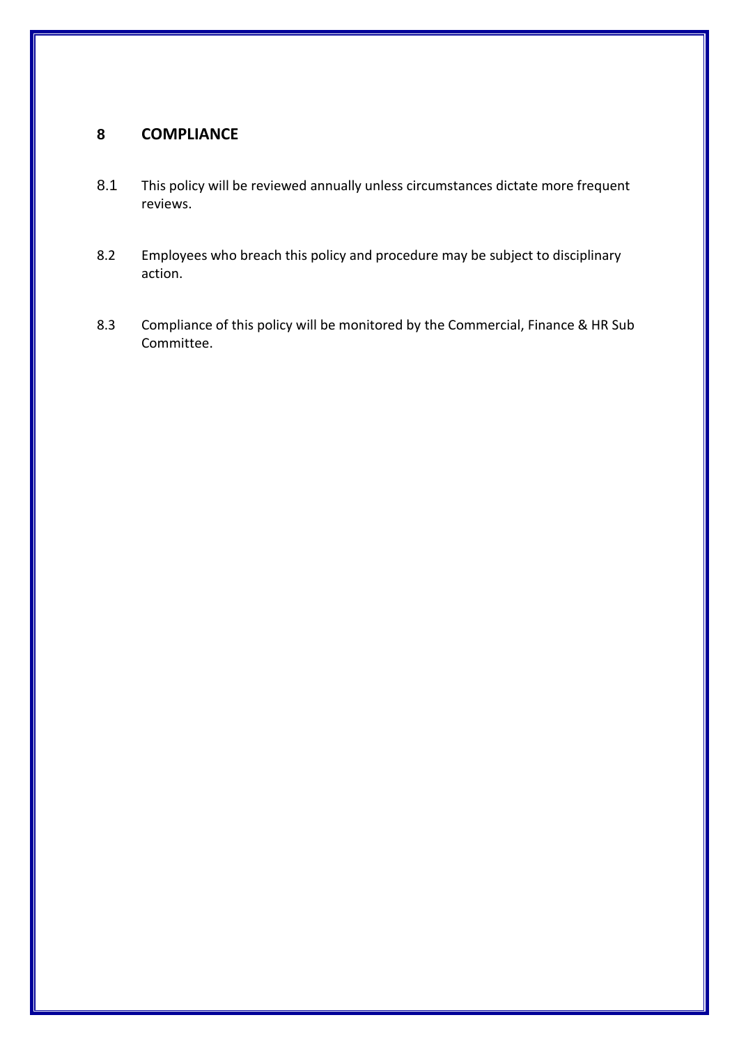# **8 COMPLIANCE**

- 8.1 This policy will be reviewed annually unless circumstances dictate more frequent reviews.
- 8.2 Employees who breach this policy and procedure may be subject to disciplinary action.
- 8.3 Compliance of this policy will be monitored by the Commercial, Finance & HR Sub Committee.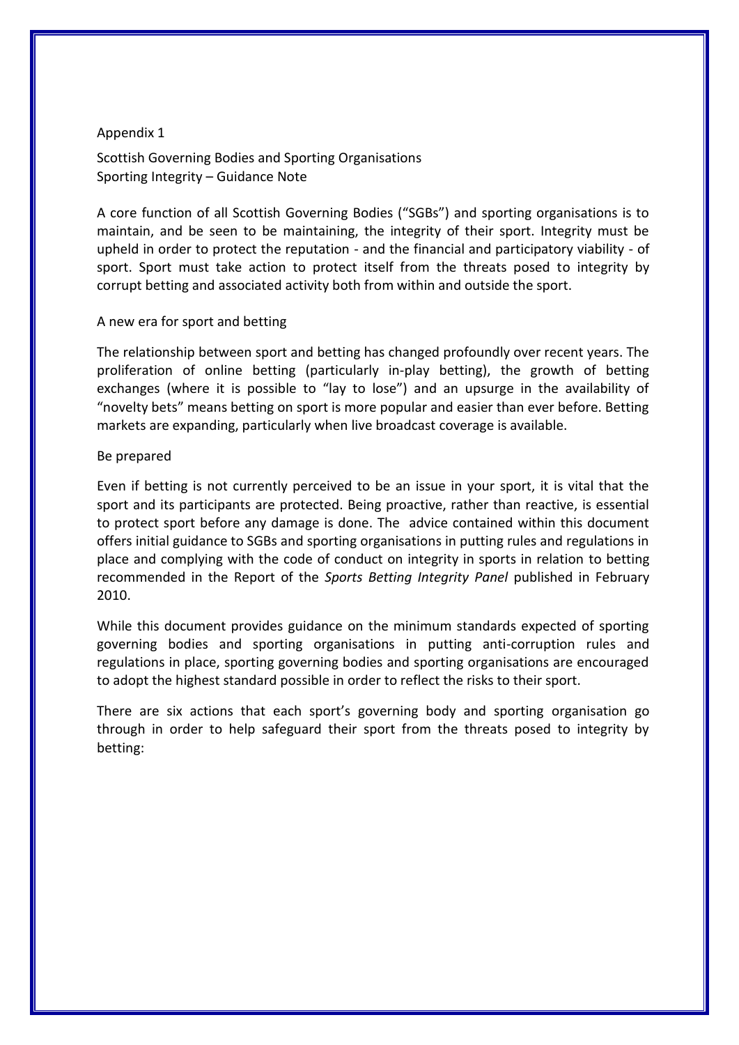#### Appendix 1

Scottish Governing Bodies and Sporting Organisations Sporting Integrity – Guidance Note

A core function of all Scottish Governing Bodies ("SGBs") and sporting organisations is to maintain, and be seen to be maintaining, the integrity of their sport. Integrity must be upheld in order to protect the reputation - and the financial and participatory viability - of sport. Sport must take action to protect itself from the threats posed to integrity by corrupt betting and associated activity both from within and outside the sport.

#### A new era for sport and betting

The relationship between sport and betting has changed profoundly over recent years. The proliferation of online betting (particularly in-play betting), the growth of betting exchanges (where it is possible to "lay to lose") and an upsurge in the availability of "novelty bets" means betting on sport is more popular and easier than ever before. Betting markets are expanding, particularly when live broadcast coverage is available.

#### Be prepared

Even if betting is not currently perceived to be an issue in your sport, it is vital that the sport and its participants are protected. Being proactive, rather than reactive, is essential to protect sport before any damage is done. The advice contained within this document offers initial guidance to SGBs and sporting organisations in putting rules and regulations in place and complying with the code of conduct on integrity in sports in relation to betting recommended in the Report of the *Sports Betting Integrity Panel* published in February 2010.

While this document provides guidance on the minimum standards expected of sporting governing bodies and sporting organisations in putting anti-corruption rules and regulations in place, sporting governing bodies and sporting organisations are encouraged to adopt the highest standard possible in order to reflect the risks to their sport.

There are six actions that each sport's governing body and sporting organisation go through in order to help safeguard their sport from the threats posed to integrity by betting: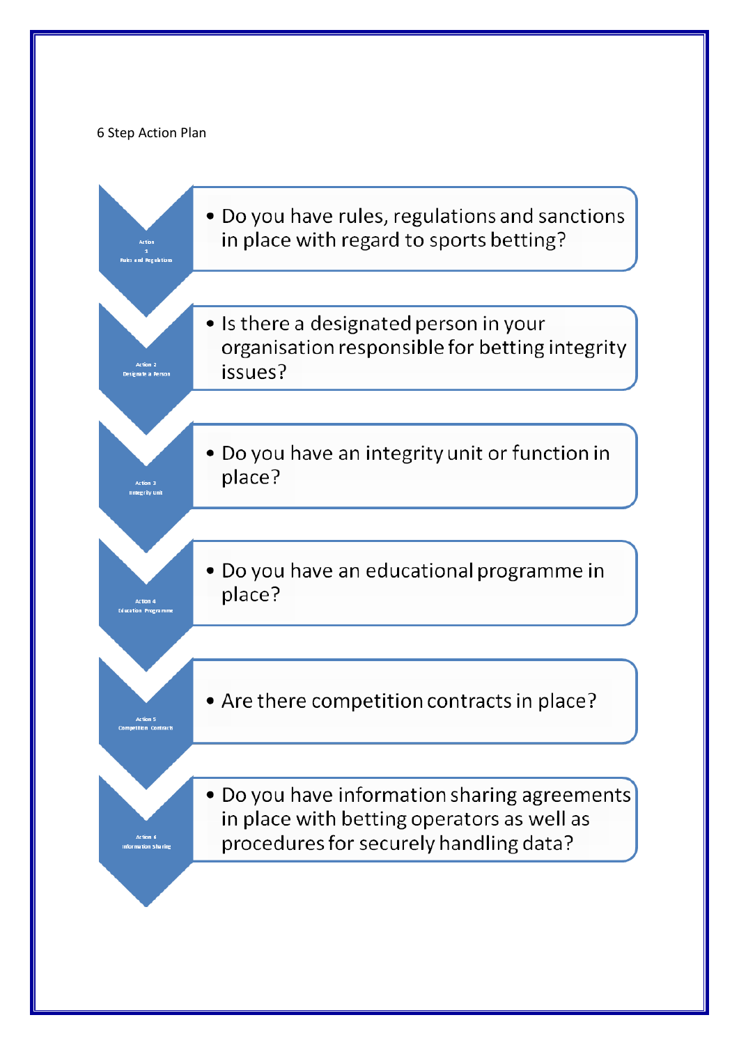## 6 Step Action Plan

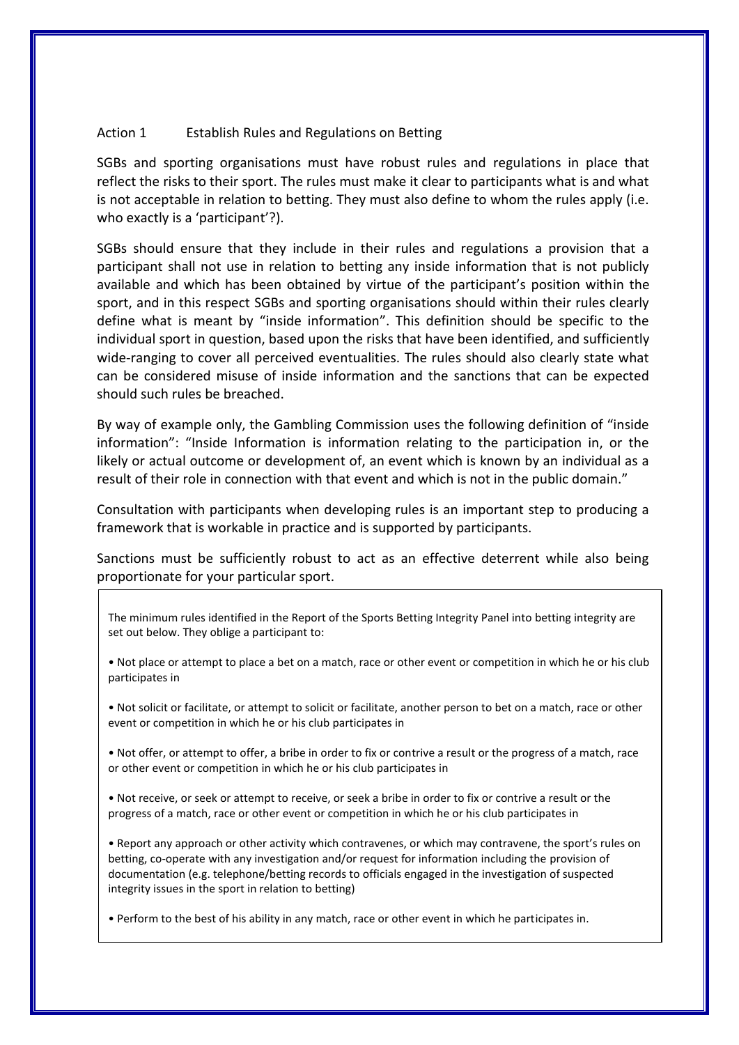#### Action 1 Establish Rules and Regulations on Betting

SGBs and sporting organisations must have robust rules and regulations in place that reflect the risks to their sport. The rules must make it clear to participants what is and what is not acceptable in relation to betting. They must also define to whom the rules apply (i.e. who exactly is a 'participant'?).

SGBs should ensure that they include in their rules and regulations a provision that a participant shall not use in relation to betting any inside information that is not publicly available and which has been obtained by virtue of the participant's position within the sport, and in this respect SGBs and sporting organisations should within their rules clearly define what is meant by "inside information". This definition should be specific to the individual sport in question, based upon the risks that have been identified, and sufficiently wide-ranging to cover all perceived eventualities. The rules should also clearly state what can be considered misuse of inside information and the sanctions that can be expected should such rules be breached.

By way of example only, the Gambling Commission uses the following definition of "inside information": "Inside Information is information relating to the participation in, or the likely or actual outcome or development of, an event which is known by an individual as a result of their role in connection with that event and which is not in the public domain."

Consultation with participants when developing rules is an important step to producing a framework that is workable in practice and is supported by participants.

Sanctions must be sufficiently robust to act as an effective deterrent while also being proportionate for your particular sport.

- The minimum rules identified in the Report of the Sports Betting Integrity Panel into betting integrity are set out below. They oblige a participant to:
- Not place or attempt to place a bet on a match, race or other event or competition in which he or his club participates in
- Not solicit or facilitate, or attempt to solicit or facilitate, another person to bet on a match, race or other event or competition in which he or his club participates in
- Not offer, or attempt to offer, a bribe in order to fix or contrive a result or the progress of a match, race or other event or competition in which he or his club participates in
- Not receive, or seek or attempt to receive, or seek a bribe in order to fix or contrive a result or the progress of a match, race or other event or competition in which he or his club participates in

• Report any approach or other activity which contravenes, or which may contravene, the sport's rules on betting, co-operate with any investigation and/or request for information including the provision of documentation (e.g. telephone/betting records to officials engaged in the investigation of suspected integrity issues in the sport in relation to betting)

• Perform to the best of his ability in any match, race or other event in which he participates in.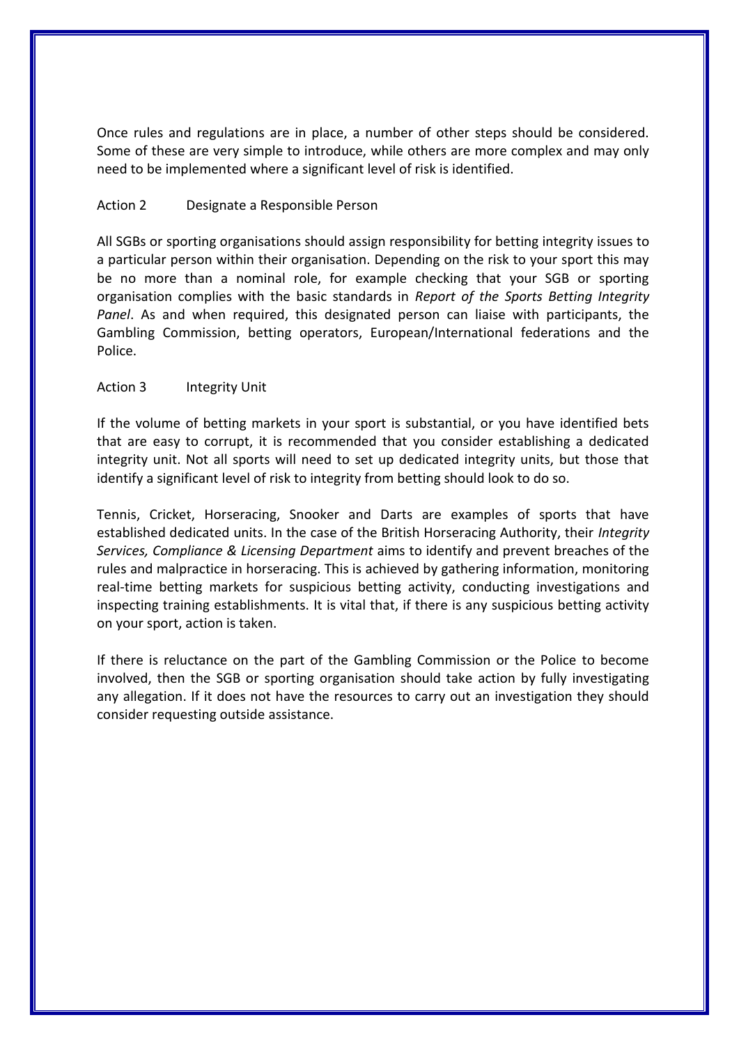Once rules and regulations are in place, a number of other steps should be considered. Some of these are very simple to introduce, while others are more complex and may only need to be implemented where a significant level of risk is identified.

#### Action 2 Designate a Responsible Person

All SGBs or sporting organisations should assign responsibility for betting integrity issues to a particular person within their organisation. Depending on the risk to your sport this may be no more than a nominal role, for example checking that your SGB or sporting organisation complies with the basic standards in *Report of the Sports Betting Integrity Panel*. As and when required, this designated person can liaise with participants, the Gambling Commission, betting operators, European/International federations and the Police.

#### Action 3 Integrity Unit

If the volume of betting markets in your sport is substantial, or you have identified bets that are easy to corrupt, it is recommended that you consider establishing a dedicated integrity unit. Not all sports will need to set up dedicated integrity units, but those that identify a significant level of risk to integrity from betting should look to do so.

Tennis, Cricket, Horseracing, Snooker and Darts are examples of sports that have established dedicated units. In the case of the British Horseracing Authority, their *Integrity Services, Compliance & Licensing Department* aims to identify and prevent breaches of the rules and malpractice in horseracing. This is achieved by gathering information, monitoring real-time betting markets for suspicious betting activity, conducting investigations and inspecting training establishments. It is vital that, if there is any suspicious betting activity on your sport, action is taken.

If there is reluctance on the part of the Gambling Commission or the Police to become involved, then the SGB or sporting organisation should take action by fully investigating any allegation. If it does not have the resources to carry out an investigation they should consider requesting outside assistance.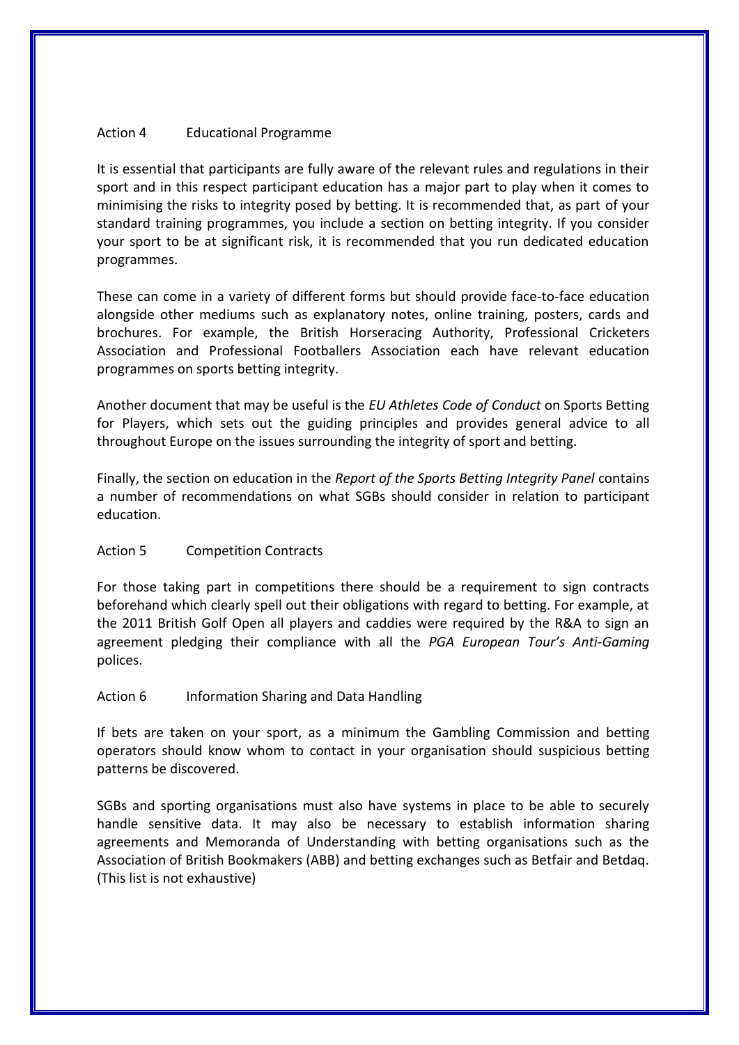#### Action 4 Educational Programme

It is essential that participants are fully aware of the relevant rules and regulations in their sport and in this respect participant education has a major part to play when it comes to minimising the risks to integrity posed by betting. It is recommended that, as part of your standard training programmes, you include a section on betting integrity. If you consider your sport to be at significant risk, it is recommended that you run dedicated education programmes.

These can come in a variety of different forms but should provide face-to-face education alongside other mediums such as explanatory notes, online training, posters, cards and brochures. For example, the British Horseracing Authority, Professional Cricketers Association and Professional Footballers Association each have relevant education programmes on sports betting integrity.

Another document that may be useful is the *EU Athletes Code of Conduct* on Sports Betting for Players, which sets out the guiding principles and provides general advice to all throughout Europe on the issues surrounding the integrity of sport and betting.

Finally, the section on education in the *Report of the Sports Betting Integrity Panel* contains a number of recommendations on what SGBs should consider in relation to participant education.

#### Action 5 Competition Contracts

For those taking part in competitions there should be a requirement to sign contracts beforehand which clearly spell out their obligations with regard to betting. For example, at the 2011 British Golf Open all players and caddies were required by the R&A to sign an agreement pledging their compliance with all the *PGA European Tour's Anti-Gaming*  polices.

#### Action 6 Information Sharing and Data Handling

If bets are taken on your sport, as a minimum the Gambling Commission and betting operators should know whom to contact in your organisation should suspicious betting patterns be discovered.

SGBs and sporting organisations must also have systems in place to be able to securely handle sensitive data. It may also be necessary to establish information sharing agreements and Memoranda of Understanding with betting organisations such as the Association of British Bookmakers (ABB) and betting exchanges such as Betfair and Betdaq. (This list is not exhaustive)